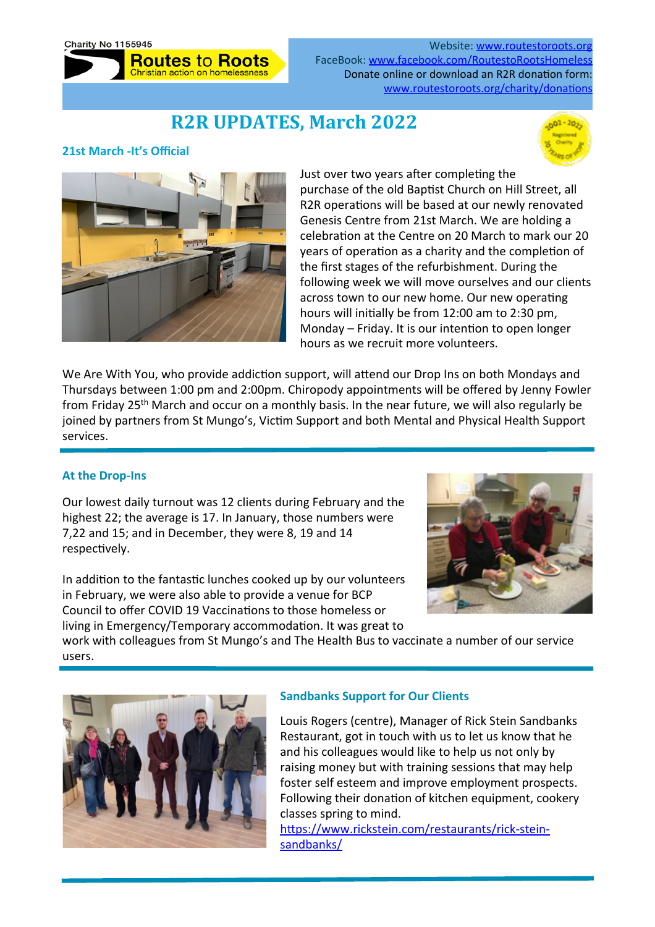

Website: [www.routestoroots.org](http://www.routestoroots.org) FaceBook: www.facebook.com/RoutestoRootsHomeles Donate online or download an R2R donation form: www.routestoroots.org/charity/donations

# **R2R UPDATES, March 2022**

### **21st March -It's Official**





Just over two years after completing the purchase of the old Baptist Church on Hill Street, all R2R operations will be based at our newly renovated Genesis Centre from 21st March. We are holding a celebration at the Centre on 20 March to mark our 20 years of operation as a charity and the completion of the first stages of the refurbishment. During the following week we will move ourselves and our clients across town to our new home. Our new operating hours will initially be from 12:00 am to 2:30 pm, Monday – Friday. It is our intention to open longer hours as we recruit more volunteers.

We Are With You, who provide addiction support, will attend our Drop Ins on both Mondays and Thursdays between 1:00 pm and 2:00pm. Chiropody appointments will be offered by Jenny Fowler from Friday 25<sup>th</sup> March and occur on a monthly basis. In the near future, we will also regularly be joined by partners from St Mungo's, Victim Support and both Mental and Physical Health Support services.

## **At the Drop-Ins**

Our lowest daily turnout was 12 clients during February and the highest 22; the average is 17. In January, those numbers were 7,22 and 15; and in December, they were 8, 19 and 14 respectively.

In addition to the fantastic lunches cooked up by our volunteers in February, we were also able to provide a venue for BCP Council to offer COVID 19 Vaccinations to those homeless or living in Emergency/Temporary accommodation. It was great to



work with colleagues from St Mungo's and The Health Bus to vaccinate a number of our service users. 



## **Sandbanks Support for Our Clients**

Louis Rogers (centre), Manager of Rick Stein Sandbanks Restaurant, got in touch with us to let us know that he and his colleagues would like to help us not only by raising money but with training sessions that may help foster self esteem and improve employment prospects. Following their donation of kitchen equipment, cookery classes spring to mind.

https://www.rickstein.com/restaurants/rick-stein[sandbanks/](https://www.rickstein.com/restaurants/rick-stein-sandbanks/)